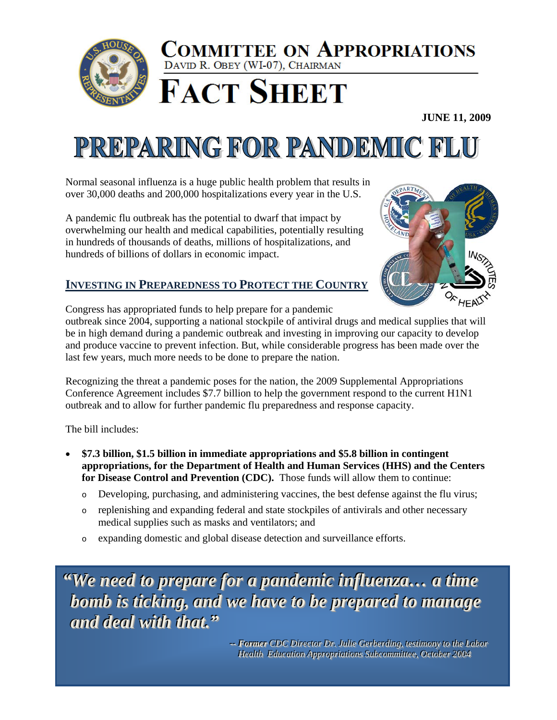

## COMMITTEE ON APPROPRIATIONS DAVID R. OBEY (WI-07), CHAIRMAN



**JUNE 11, 2009** 

## PREPARING FOR PANDEMIC FLU

Normal seasonal influenza is a huge public health problem that results in over 30,000 deaths and 200,000 hospitalizations every year in the U.S.

A pandemic flu outbreak has the potential to dwarf that impact by overwhelming our health and medical capabilities, potentially resulting in hundreds of thousands of deaths, millions of hospitalizations, and hundreds of billions of dollars in economic impact.



## **INVESTING IN PREPAREDNESS TO PROTECT THE COUNTRY**

Congress has appropriated funds to help prepare for a pandemic

outbreak since 2004, supporting a national stockpile of antiviral drugs and medical supplies that will be in high demand during a pandemic outbreak and investing in improving our capacity to develop and produce vaccine to prevent infection. But, while considerable progress has been made over the last few years, much more needs to be done to prepare the nation.

Recognizing the threat a pandemic poses for the nation, the 2009 Supplemental Appropriations Conference Agreement includes \$7.7 billion to help the government respond to the current H1N1 outbreak and to allow for further pandemic flu preparedness and response capacity.

The bill includes:

- \$7.3 billion, \$1.5 billion in immediate appropriations and \$5.8 billion in contingent appropriations, for the Department of Health and Human Services (HHS) and the Centers for Disease Control and Prevention (CDC). Those funds will allow them to continue:
	- Developing, purchasing, and administering vaccines, the best defense against the flu virus;  $\circ$
	- replenishing and expanding federal and state stockpiles of antivirals and other necessary  $\circ$ medical supplies such as masks and ventilators; and
	- expanding domestic and global disease detection and surveillance efforts.  $\circ$

"We need to prepare for a pandemic influenza... a time bomb is ticking, and we have to be prepared to manage and deal with that."

> -- Former CDC Director Dr. Julie Gerberding, testimony to the Labor **Health Education Appropriations Subcommittee, October 2004**